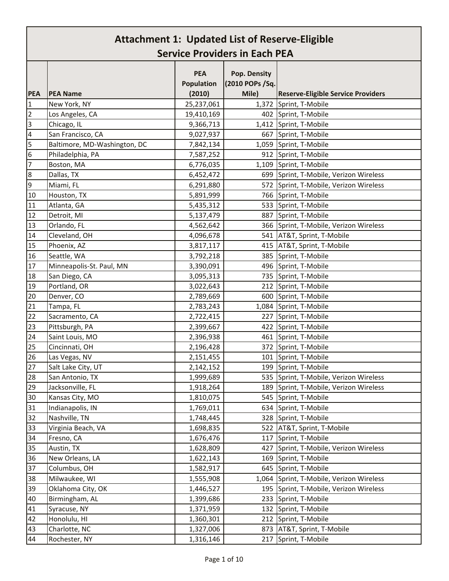|                          |                              | <b>PEA</b><br><b>Population</b> | Pop. Density<br>(2010 POPs / Sq. |                                           |
|--------------------------|------------------------------|---------------------------------|----------------------------------|-------------------------------------------|
| <b>PEA</b>               | <b>PEA Name</b>              | (2010)                          | Mile)                            | <b>Reserve-Eligible Service Providers</b> |
| $\mathbf{1}$             | New York, NY                 | 25,237,061                      |                                  | 1,372 Sprint, T-Mobile                    |
| $\overline{2}$           | Los Angeles, CA              | 19,410,169                      |                                  | 402 Sprint, T-Mobile                      |
| 3                        | Chicago, IL                  | 9,366,713                       |                                  | 1,412 Sprint, T-Mobile                    |
| $\overline{\mathcal{A}}$ | San Francisco, CA            | 9,027,937                       |                                  | 667 Sprint, T-Mobile                      |
| 5                        | Baltimore, MD-Washington, DC | 7,842,134                       |                                  | 1,059 Sprint, T-Mobile                    |
| $\boldsymbol{6}$         | Philadelphia, PA             | 7,587,252                       |                                  | 912 Sprint, T-Mobile                      |
| $\overline{7}$           | Boston, MA                   | 6,776,035                       |                                  | 1,109 Sprint, T-Mobile                    |
| 8                        | Dallas, TX                   | 6,452,472                       |                                  | 699 Sprint, T-Mobile, Verizon Wireless    |
| 9                        | Miami, FL                    | 6,291,880                       |                                  | 572 Sprint, T-Mobile, Verizon Wireless    |
| 10                       | Houston, TX                  | 5,891,999                       |                                  | 766 Sprint, T-Mobile                      |
| 11                       | Atlanta, GA                  | 5,435,312                       |                                  | 533 Sprint, T-Mobile                      |
| 12                       | Detroit, MI                  | 5,137,479                       |                                  | 887 Sprint, T-Mobile                      |
| 13                       | Orlando, FL                  | 4,562,642                       |                                  | 366 Sprint, T-Mobile, Verizon Wireless    |
| 14                       | Cleveland, OH                | 4,096,678                       |                                  | 541 AT&T, Sprint, T-Mobile                |
| 15                       | Phoenix, AZ                  | 3,817,117                       |                                  | 415 AT&T, Sprint, T-Mobile                |
| 16                       | Seattle, WA                  | 3,792,218                       |                                  | 385 Sprint, T-Mobile                      |
| 17                       | Minneapolis-St. Paul, MN     | 3,390,091                       |                                  | 496 Sprint, T-Mobile                      |
| 18                       | San Diego, CA                | 3,095,313                       |                                  | 735 Sprint, T-Mobile                      |
| 19                       | Portland, OR                 | 3,022,643                       |                                  | 212 Sprint, T-Mobile                      |
| 20                       | Denver, CO                   | 2,789,669                       |                                  | 600 Sprint, T-Mobile                      |
| 21                       | Tampa, FL                    | 2,783,243                       |                                  | 1,084 Sprint, T-Mobile                    |
| 22                       | Sacramento, CA               | 2,722,415                       |                                  | 227 Sprint, T-Mobile                      |
| 23                       | Pittsburgh, PA               | 2,399,667                       |                                  | 422 Sprint, T-Mobile                      |
| 24                       | Saint Louis, MO              | 2,396,938                       |                                  | 461 Sprint, T-Mobile                      |
| 25                       | Cincinnati, OH               | 2,196,428                       |                                  | 372 Sprint, T-Mobile                      |
| 26                       | Las Vegas, NV                | 2,151,455                       |                                  | 101 Sprint, T-Mobile                      |
| 27                       | Salt Lake City, UT           | 2,142,152                       |                                  | 199 Sprint, T-Mobile                      |
| 28                       | San Antonio, TX              | 1,999,689                       |                                  | 535 Sprint, T-Mobile, Verizon Wireless    |
| 29                       | Jacksonville, FL             | 1,918,264                       |                                  | 189 Sprint, T-Mobile, Verizon Wireless    |
| 30 <sup>°</sup>          | Kansas City, MO              | 1,810,075                       |                                  | 545 Sprint, T-Mobile                      |
| 31                       | Indianapolis, IN             | 1,769,011                       |                                  | 634 Sprint, T-Mobile                      |
| 32                       | Nashville, TN                | 1,748,445                       |                                  | 328 Sprint, T-Mobile                      |
| 33                       | Virginia Beach, VA           | 1,698,835                       |                                  | 522 AT&T, Sprint, T-Mobile                |
| 34                       | Fresno, CA                   | 1,676,476                       |                                  | 117 Sprint, T-Mobile                      |
| 35                       | Austin, TX                   | 1,628,809                       | 427                              | Sprint, T-Mobile, Verizon Wireless        |
| 36                       | New Orleans, LA              | 1,622,143                       |                                  | 169 Sprint, T-Mobile                      |
| 37                       | Columbus, OH                 | 1,582,917                       |                                  | 645 Sprint, T-Mobile                      |
| 38                       | Milwaukee, WI                | 1,555,908                       |                                  | 1,064 Sprint, T-Mobile, Verizon Wireless  |
| 39                       | Oklahoma City, OK            | 1,446,527                       |                                  | 195 Sprint, T-Mobile, Verizon Wireless    |
| 40                       | Birmingham, AL               | 1,399,686                       |                                  | 233 Sprint, T-Mobile                      |
| 41                       | Syracuse, NY                 | 1,371,959                       |                                  | 132 Sprint, T-Mobile                      |
| 42                       | Honolulu, HI                 | 1,360,301                       |                                  | 212 Sprint, T-Mobile                      |
| 43                       | Charlotte, NC                | 1,327,006                       |                                  | 873 AT&T, Sprint, T-Mobile                |
| 44                       | Rochester, NY                | 1,316,146                       |                                  | 217 Sprint, T-Mobile                      |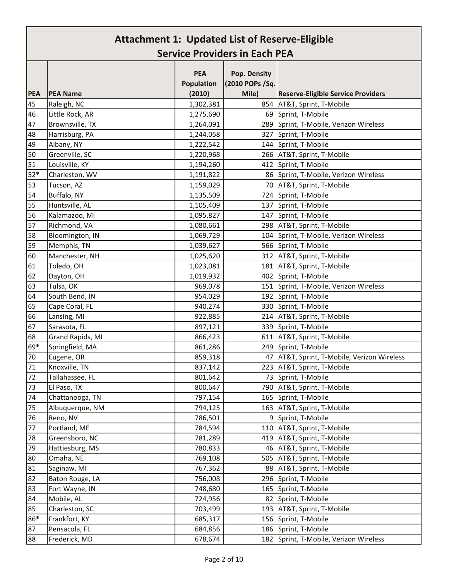| <b>PEA</b> | <b>PEA Name</b>  | <b>PEA</b><br><b>Population</b><br>(2010) | Pop. Density<br>(2010 POPs / Sq.<br>Mile) | <b>Reserve-Eligible Service Providers</b>     |
|------------|------------------|-------------------------------------------|-------------------------------------------|-----------------------------------------------|
| 45         | Raleigh, NC      | 1,302,381                                 |                                           | 854 AT&T, Sprint, T-Mobile                    |
| 46         | Little Rock, AR  | 1,275,690                                 |                                           | 69 Sprint, T-Mobile                           |
| 47         | Brownsville, TX  | 1,264,091                                 | 289                                       | Sprint, T-Mobile, Verizon Wireless            |
| 48         | Harrisburg, PA   | 1,244,058                                 | 327                                       | Sprint, T-Mobile                              |
| 49         | Albany, NY       | 1,222,542                                 |                                           | 144 Sprint, T-Mobile                          |
| 50         | Greenville, SC   | 1,220,968                                 |                                           | 266 AT&T, Sprint, T-Mobile                    |
| 51         | Louisville, KY   | 1,194,260                                 |                                           | 412 Sprint, T-Mobile                          |
| $52*$      | Charleston, WV   | 1,191,822                                 |                                           | 86 Sprint, T-Mobile, Verizon Wireless         |
| 53         | Tucson, AZ       | 1,159,029                                 |                                           | 70 AT&T, Sprint, T-Mobile                     |
| 54         | Buffalo, NY      | 1,135,509                                 | 724                                       | Sprint, T-Mobile                              |
| 55         | Huntsville, AL   | 1,105,409                                 |                                           | 137 Sprint, T-Mobile                          |
| 56         | Kalamazoo, MI    | 1,095,827                                 |                                           | 147 Sprint, T-Mobile                          |
| 57         | Richmond, VA     | 1,080,661                                 |                                           | 298 AT&T, Sprint, T-Mobile                    |
| 58         | Bloomington, IN  | 1,069,729                                 |                                           | 104 Sprint, T-Mobile, Verizon Wireless        |
| 59         | Memphis, TN      | 1,039,627                                 |                                           | 566 Sprint, T-Mobile                          |
| 60         | Manchester, NH   | 1,025,620                                 |                                           | 312   AT&T, Sprint, T-Mobile                  |
| 61         | Toledo, OH       | 1,023,081                                 |                                           | 181   AT&T, Sprint, T-Mobile                  |
| 62         | Dayton, OH       | 1,019,932                                 |                                           | 402 Sprint, T-Mobile                          |
| 63         | Tulsa, OK        | 969,078                                   |                                           | 151 Sprint, T-Mobile, Verizon Wireless        |
| 64         | South Bend, IN   | 954,029                                   |                                           | 192 Sprint, T-Mobile                          |
| 65         | Cape Coral, FL   | 940,274                                   |                                           | 330 Sprint, T-Mobile                          |
| 66         | Lansing, MI      | 922,885                                   |                                           | 214 AT&T, Sprint, T-Mobile                    |
| 67         | Sarasota, FL     | 897,121                                   |                                           | 339 Sprint, T-Mobile                          |
| 68         | Grand Rapids, MI | 866,423                                   |                                           | 611 AT&T, Sprint, T-Mobile                    |
| 69*        | Springfield, MA  | 861,286                                   |                                           | 249 Sprint, T-Mobile                          |
| 70         | Eugene, OR       | 859,318                                   |                                           | 47   AT&T, Sprint, T-Mobile, Verizon Wireless |
| 71         | Knoxville, TN    | 837,142                                   |                                           | 223 AT&T, Sprint, T-Mobile                    |
| 72         | Tallahassee, FL  | 801,642                                   |                                           | 73 Sprint, T-Mobile                           |
| 73         | El Paso, TX      | 800,647                                   |                                           | 790 AT&T, Sprint, T-Mobile                    |
| 74         | Chattanooga, TN  | 797,154                                   | 165                                       | Sprint, T-Mobile                              |
| 75         | Albuquerque, NM  | 794,125                                   | 163                                       | AT&T, Sprint, T-Mobile                        |
| 76         | Reno, NV         | 786,501                                   |                                           | 9 Sprint, T-Mobile                            |
| 77         | Portland, ME     | 784,594                                   | 110                                       | AT&T, Sprint, T-Mobile                        |
| 78         | Greensboro, NC   | 781,289                                   | 419                                       | AT&T, Sprint, T-Mobile                        |
| 79         | Hattiesburg, MS  | 780,833                                   | 46                                        | AT&T, Sprint, T-Mobile                        |
| 80         | Omaha, NE        | 769,108                                   | 505                                       | AT&T, Sprint, T-Mobile                        |
| 81         | Saginaw, MI      | 767,362                                   | 88                                        | AT&T, Sprint, T-Mobile                        |
| 82         | Baton Rouge, LA  | 756,008                                   |                                           | 296 Sprint, T-Mobile                          |
| 83         | Fort Wayne, IN   | 748,680                                   | 165                                       | Sprint, T-Mobile                              |
| 84         | Mobile, AL       | 724,956                                   | 82                                        | Sprint, T-Mobile                              |
| 85         | Charleston, SC   | 703,499                                   | 193                                       | AT&T, Sprint, T-Mobile                        |
| 86*        | Frankfort, KY    | 685,317                                   | 156                                       | Sprint, T-Mobile                              |
| 87         | Pensacola, FL    | 684,856                                   | 186                                       | Sprint, T-Mobile                              |
| 88         | Frederick, MD    | 678,674                                   |                                           | 182 Sprint, T-Mobile, Verizon Wireless        |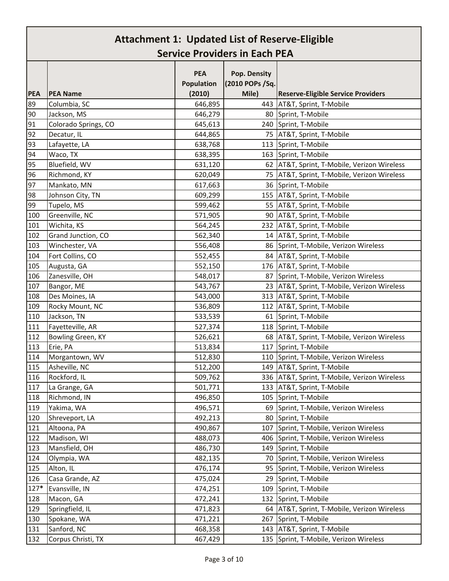|            |                      | <b>PEA</b>           | Pop. Density             |                                               |
|------------|----------------------|----------------------|--------------------------|-----------------------------------------------|
| <b>PEA</b> | <b>PEA Name</b>      | Population<br>(2010) | (2010 POPs /Sq.<br>Mile) | <b>Reserve-Eligible Service Providers</b>     |
| 89         | Columbia, SC         | 646,895              | 443                      | AT&T, Sprint, T-Mobile                        |
| 90         | Jackson, MS          | 646,279              | 80                       | Sprint, T-Mobile                              |
| 91         | Colorado Springs, CO | 645,613              | 240                      | Sprint, T-Mobile                              |
| 92         | Decatur, IL          | 644,865              |                          | 75 AT&T, Sprint, T-Mobile                     |
| 93         | Lafayette, LA        | 638,768              |                          | 113 Sprint, T-Mobile                          |
| 94         | Waco, TX             | 638,395              | 163                      | Sprint, T-Mobile                              |
| 95         | Bluefield, WV        | 631,120              |                          | 62   AT&T, Sprint, T-Mobile, Verizon Wireless |
|            |                      |                      |                          |                                               |
| 96<br>97   | Richmond, KY         | 620,049              |                          | 75   AT&T, Sprint, T-Mobile, Verizon Wireless |
|            | Mankato, MN          | 617,663              |                          | 36 Sprint, T-Mobile                           |
| 98         | Johnson City, TN     | 609,299              |                          | 155 AT&T, Sprint, T-Mobile                    |
| 99         | Tupelo, MS           | 599,462              |                          | 55 AT&T, Sprint, T-Mobile                     |
| 100        | Greenville, NC       | 571,905              |                          | 90 AT&T, Sprint, T-Mobile                     |
| 101        | Wichita, KS          | 564,245              |                          | 232 AT&T, Sprint, T-Mobile                    |
| 102        | Grand Junction, CO   | 562,340              |                          | 14 AT&T, Sprint, T-Mobile                     |
| 103        | Winchester, VA       | 556,408              |                          | 86 Sprint, T-Mobile, Verizon Wireless         |
| 104        | Fort Collins, CO     | 552,455              | 84                       | AT&T, Sprint, T-Mobile                        |
| 105        | Augusta, GA          | 552,150              |                          | 176 AT&T, Sprint, T-Mobile                    |
| 106        | Zanesville, OH       | 548,017              | 87                       | Sprint, T-Mobile, Verizon Wireless            |
| 107        | Bangor, ME           | 543,767              |                          | 23 AT&T, Sprint, T-Mobile, Verizon Wireless   |
| 108        | Des Moines, IA       | 543,000              |                          | 313   AT&T, Sprint, T-Mobile                  |
| 109        | Rocky Mount, NC      | 536,809              | 112                      | AT&T, Sprint, T-Mobile                        |
| 110        | Jackson, TN          | 533,539              | 61                       | Sprint, T-Mobile                              |
| 111        | Fayetteville, AR     | 527,374              |                          | 118 Sprint, T-Mobile                          |
| 112        | Bowling Green, KY    | 526,621              |                          | 68   AT&T, Sprint, T-Mobile, Verizon Wireless |
| 113        | Erie, PA             | 513,834              |                          | 117 Sprint, T-Mobile                          |
| 114        | Morgantown, WV       | 512,830              | 110                      | Sprint, T-Mobile, Verizon Wireless            |
| 115        | Asheville, NC        | 512,200              |                          | 149 AT&T, Sprint, T-Mobile                    |
| 116        | Rockford, IL         | 509,762              |                          | 336 AT&T, Sprint, T-Mobile, Verizon Wireless  |
| 117        | La Grange, GA        | 501,771              |                          | 133 AT&T, Sprint, T-Mobile                    |
| 118        | Richmond, IN         | 496,850              | 105                      | Sprint, T-Mobile                              |
| 119        | Yakima, WA           | 496,571              | 69                       | Sprint, T-Mobile, Verizon Wireless            |
| 120        | Shreveport, LA       | 492,213              | 80                       | Sprint, T-Mobile                              |
| 121        | Altoona, PA          | 490,867              | 107                      | Sprint, T-Mobile, Verizon Wireless            |
| 122        | Madison, WI          | 488,073              | 406                      | Sprint, T-Mobile, Verizon Wireless            |
| 123        | Mansfield, OH        | 486,730              | 149                      | Sprint, T-Mobile                              |
| 124        | Olympia, WA          | 482,135              | 70                       | Sprint, T-Mobile, Verizon Wireless            |
| 125        | Alton, IL            | 476,174              | 95                       | Sprint, T-Mobile, Verizon Wireless            |
| 126        | Casa Grande, AZ      | 475,024              | 29                       | Sprint, T-Mobile                              |
| 127*       | Evansville, IN       | 474,251              | 109                      | Sprint, T-Mobile                              |
| 128        | Macon, GA            | 472,241              | 132                      | Sprint, T-Mobile                              |
| 129        | Springfield, IL      | 471,823              | 64                       | AT&T, Sprint, T-Mobile, Verizon Wireless      |
| 130        | Spokane, WA          | 471,221              | 267                      | Sprint, T-Mobile                              |
|            |                      |                      |                          |                                               |
| 131        | Sanford, NC          | 468,358              |                          | 143 AT&T, Sprint, T-Mobile                    |
| 132        | Corpus Christi, TX   | 467,429              |                          | 135 Sprint, T-Mobile, Verizon Wireless        |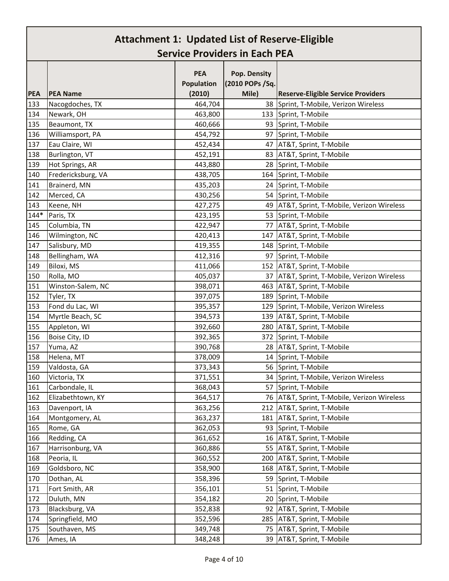|            |                    | <b>PEA</b> | Pop. Density     |                                               |
|------------|--------------------|------------|------------------|-----------------------------------------------|
|            |                    | Population | (2010 POPs / Sq. |                                               |
| <b>PEA</b> | <b>PEA Name</b>    | (2010)     | Mile)            | <b>Reserve-Eligible Service Providers</b>     |
| 133        | Nacogdoches, TX    | 464,704    |                  | 38 Sprint, T-Mobile, Verizon Wireless         |
| 134        | Newark, OH         | 463,800    |                  | 133 Sprint, T-Mobile                          |
| 135        | Beaumont, TX       | 460,666    | 93               | Sprint, T-Mobile                              |
| 136        | Williamsport, PA   | 454,792    | 97               | Sprint, T-Mobile                              |
| 137        | Eau Claire, WI     | 452,434    | 47               | AT&T, Sprint, T-Mobile                        |
| 138        | Burlington, VT     | 452,191    |                  | 83 AT&T, Sprint, T-Mobile                     |
| 139        | Hot Springs, AR    | 443,880    |                  | 28 Sprint, T-Mobile                           |
| 140        | Fredericksburg, VA | 438,705    |                  | 164 Sprint, T-Mobile                          |
| 141        | Brainerd, MN       | 435,203    |                  | 24 Sprint, T-Mobile                           |
| 142        | Merced, CA         | 430,256    |                  | 54 Sprint, T-Mobile                           |
| 143        | Keene, NH          | 427,275    |                  | 49   AT&T, Sprint, T-Mobile, Verizon Wireless |
| $144*$     | Paris, TX          | 423,195    |                  | 53 Sprint, T-Mobile                           |
| 145        | Columbia, TN       | 422,947    | 77               | AT&T, Sprint, T-Mobile                        |
| 146        | Wilmington, NC     | 420,413    |                  | 147 AT&T, Sprint, T-Mobile                    |
| 147        | Salisbury, MD      | 419,355    |                  | 148 Sprint, T-Mobile                          |
| 148        | Bellingham, WA     | 412,316    | 97               | Sprint, T-Mobile                              |
| 149        | Biloxi, MS         | 411,066    |                  | 152 AT&T, Sprint, T-Mobile                    |
| 150        | Rolla, MO          | 405,037    | 37               | AT&T, Sprint, T-Mobile, Verizon Wireless      |
| 151        | Winston-Salem, NC  | 398,071    | 463              | AT&T, Sprint, T-Mobile                        |
| 152        | Tyler, TX          | 397,075    | 189              | Sprint, T-Mobile                              |
| 153        | Fond du Lac, WI    | 395,357    |                  | 129 Sprint, T-Mobile, Verizon Wireless        |
| 154        | Myrtle Beach, SC   | 394,573    |                  | 139   AT&T, Sprint, T-Mobile                  |
| 155        | Appleton, WI       | 392,660    | 280              | AT&T, Sprint, T-Mobile                        |
| 156        | Boise City, ID     | 392,365    | 372              | Sprint, T-Mobile                              |
| 157        | Yuma, AZ           | 390,768    |                  | 28 AT&T, Sprint, T-Mobile                     |
| 158        | Helena, MT         | 378,009    | 14               | Sprint, T-Mobile                              |
| 159        | Valdosta, GA       | 373,343    |                  | 56 Sprint, T-Mobile                           |
| 160        | Victoria, TX       | 371,551    |                  | 34 Sprint, T-Mobile, Verizon Wireless         |
| 161        | Carbondale, IL     | 368,043    |                  | 57 Sprint, T-Mobile                           |
| 162        | Elizabethtown, KY  | 364,517    | 76               | AT&T, Sprint, T-Mobile, Verizon Wireless      |
| 163        | Davenport, IA      | 363,256    | 212              | AT&T, Sprint, T-Mobile                        |
| 164        | Montgomery, AL     | 363,237    | 181              | AT&T, Sprint, T-Mobile                        |
| 165        | Rome, GA           | 362,053    | 93               | Sprint, T-Mobile                              |
| 166        | Redding, CA        | 361,652    |                  | 16 AT&T, Sprint, T-Mobile                     |
| 167        | Harrisonburg, VA   | 360,886    | 55               | AT&T, Sprint, T-Mobile                        |
| 168        | Peoria, IL         | 360,552    | 200              | AT&T, Sprint, T-Mobile                        |
| 169        | Goldsboro, NC      | 358,900    | 168              | AT&T, Sprint, T-Mobile                        |
| 170        | Dothan, AL         | 358,396    | 59               | Sprint, T-Mobile                              |
| 171        | Fort Smith, AR     | 356,101    | 51               | Sprint, T-Mobile                              |
| 172        | Duluth, MN         | 354,182    | 20               | Sprint, T-Mobile                              |
| 173        | Blacksburg, VA     | 352,838    | 92               | AT&T, Sprint, T-Mobile                        |
| 174        | Springfield, MO    | 352,596    | 285              | AT&T, Sprint, T-Mobile                        |
| 175        | Southaven, MS      | 349,748    | 75               | AT&T, Sprint, T-Mobile                        |
| 176        | Ames, IA           | 348,248    | 39               | AT&T, Sprint, T-Mobile                        |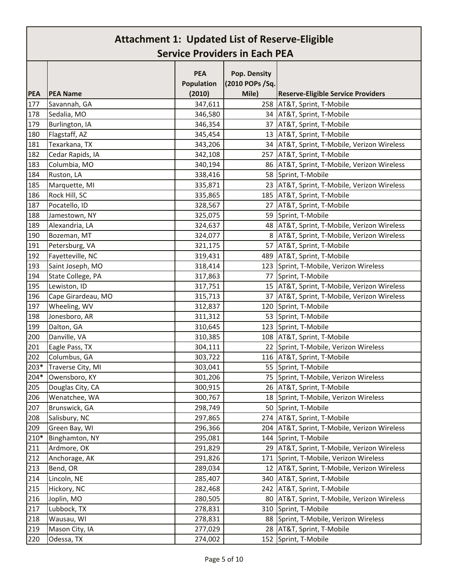| <b>PEA</b><br>Pop. Density<br>(2010 POPs / Sq.<br><b>Population</b><br>Mile)<br><b>PEA</b><br><b>PEA Name</b><br>(2010)<br><b>Reserve-Eligible Service Providers</b><br>177<br>Savannah, GA<br>347,611<br>258 AT&T, Sprint, T-Mobile<br>178<br>Sedalia, MO<br>346,580<br>34 AT&T, Sprint, T-Mobile<br>179<br>Burlington, IA<br>346,354<br>37 AT&T, Sprint, T-Mobile<br>180<br>Flagstaff, AZ<br>345,454<br>13 AT&T, Sprint, T-Mobile<br>181<br>Texarkana, TX<br>34   AT&T, Sprint, T-Mobile, Verizon Wireless<br>343,206<br>182<br>Cedar Rapids, IA<br>342,108<br>257 AT&T, Sprint, T-Mobile<br>183<br>Columbia, MO<br>340,194<br>86   AT&T, Sprint, T-Mobile, Verizon Wireless<br>184<br>Ruston, LA<br>338,416<br>58 Sprint, T-Mobile<br>185<br>Marquette, MI<br>335,871<br>23   AT&T, Sprint, T-Mobile, Verizon Wireless<br>Rock Hill, SC<br>335,865<br>185   AT&T, Sprint, T-Mobile<br>Pocatello, ID<br>328,567<br>27 AT&T, Sprint, T-Mobile<br>59 Sprint, T-Mobile<br>Jamestown, NY<br>325,075<br>Alexandria, LA<br>48   AT&T, Sprint, T-Mobile, Verizon Wireless<br>324,637<br>Bozeman, MT<br>8   AT&T, Sprint, T-Mobile, Verizon Wireless<br>324,077<br>321,175<br>Petersburg, VA<br>57 AT&T, Sprint, T-Mobile<br>Fayetteville, NC<br>319,431<br>489   AT&T, Sprint, T-Mobile<br>Saint Joseph, MO<br>318,414<br>123 Sprint, T-Mobile, Verizon Wireless<br>State College, PA<br>317,863<br>77 Sprint, T-Mobile<br>Lewiston, ID<br>317,751<br>15   AT&T, Sprint, T-Mobile, Verizon Wireless<br>Cape Girardeau, MO<br>315,713<br>37   AT&T, Sprint, T-Mobile, Verizon Wireless<br>Wheeling, WV<br>312,837<br>120 Sprint, T-Mobile<br>Jonesboro, AR<br>311,312<br>53 Sprint, T-Mobile<br>Dalton, GA<br>123 Sprint, T-Mobile<br>310,645<br>Danville, VA<br>108   AT&T, Sprint, T-Mobile<br>310,385<br>Eagle Pass, TX<br>22 Sprint, T-Mobile, Verizon Wireless<br>304,111<br>Columbus, GA<br>303,722<br>116 AT&T, Sprint, T-Mobile<br>Traverse City, MI<br>303,041<br>55 Sprint, T-Mobile<br>Owensboro, KY<br>75 Sprint, T-Mobile, Verizon Wireless<br>301,206<br>300,915<br>26 AT&T, Sprint, T-Mobile<br>Douglas City, CA<br>18 Sprint, T-Mobile, Verizon Wireless<br>Wenatchee, WA<br>300,767<br>Brunswick, GA<br>298,749<br>50 Sprint, T-Mobile<br>274 AT&T, Sprint, T-Mobile<br>208<br>Salisbury, NC<br>297,865<br>209<br>Green Bay, WI<br>296,366<br>AT&T, Sprint, T-Mobile, Verizon Wireless<br>204<br>210*<br>Binghamton, NY<br>295,081<br>144<br>Sprint, T-Mobile<br>211<br>Ardmore, OK<br>291,829<br>AT&T, Sprint, T-Mobile, Verizon Wireless<br>29<br>212<br>Anchorage, AK<br>291,826<br>Sprint, T-Mobile, Verizon Wireless<br>171<br>213<br>12   AT&T, Sprint, T-Mobile, Verizon Wireless<br>Bend, OR<br>289,034<br>214<br>Lincoln, NE<br>285,407<br>340 AT&T, Sprint, T-Mobile<br>215<br>Hickory, NC<br>242 AT&T, Sprint, T-Mobile<br>282,468<br>216<br>Joplin, MO<br>280,505<br>AT&T, Sprint, T-Mobile, Verizon Wireless<br>80<br>217<br>Lubbock, TX<br>Sprint, T-Mobile<br>278,831<br>310<br>218<br>278,831<br>88 Sprint, T-Mobile, Verizon Wireless<br>Wausau, WI<br>219<br>277,029<br>28 AT&T, Sprint, T-Mobile<br>Mason City, IA<br>152 Sprint, T-Mobile |      |            |         |  |
|--------------------------------------------------------------------------------------------------------------------------------------------------------------------------------------------------------------------------------------------------------------------------------------------------------------------------------------------------------------------------------------------------------------------------------------------------------------------------------------------------------------------------------------------------------------------------------------------------------------------------------------------------------------------------------------------------------------------------------------------------------------------------------------------------------------------------------------------------------------------------------------------------------------------------------------------------------------------------------------------------------------------------------------------------------------------------------------------------------------------------------------------------------------------------------------------------------------------------------------------------------------------------------------------------------------------------------------------------------------------------------------------------------------------------------------------------------------------------------------------------------------------------------------------------------------------------------------------------------------------------------------------------------------------------------------------------------------------------------------------------------------------------------------------------------------------------------------------------------------------------------------------------------------------------------------------------------------------------------------------------------------------------------------------------------------------------------------------------------------------------------------------------------------------------------------------------------------------------------------------------------------------------------------------------------------------------------------------------------------------------------------------------------------------------------------------------------------------------------------------------------------------------------------------------------------------------------------------------------------------------------------------------------------------------------------------------------------------------------------------------------------------------------------------------------------------------------------------------------------------------------------------------------------------------------------------------------------------------------------------------------------------------------------------------------------------------------------------------------------------------------------------------------------------------|------|------------|---------|--|
|                                                                                                                                                                                                                                                                                                                                                                                                                                                                                                                                                                                                                                                                                                                                                                                                                                                                                                                                                                                                                                                                                                                                                                                                                                                                                                                                                                                                                                                                                                                                                                                                                                                                                                                                                                                                                                                                                                                                                                                                                                                                                                                                                                                                                                                                                                                                                                                                                                                                                                                                                                                                                                                                                                                                                                                                                                                                                                                                                                                                                                                                                                                                                                          |      |            |         |  |
|                                                                                                                                                                                                                                                                                                                                                                                                                                                                                                                                                                                                                                                                                                                                                                                                                                                                                                                                                                                                                                                                                                                                                                                                                                                                                                                                                                                                                                                                                                                                                                                                                                                                                                                                                                                                                                                                                                                                                                                                                                                                                                                                                                                                                                                                                                                                                                                                                                                                                                                                                                                                                                                                                                                                                                                                                                                                                                                                                                                                                                                                                                                                                                          |      |            |         |  |
|                                                                                                                                                                                                                                                                                                                                                                                                                                                                                                                                                                                                                                                                                                                                                                                                                                                                                                                                                                                                                                                                                                                                                                                                                                                                                                                                                                                                                                                                                                                                                                                                                                                                                                                                                                                                                                                                                                                                                                                                                                                                                                                                                                                                                                                                                                                                                                                                                                                                                                                                                                                                                                                                                                                                                                                                                                                                                                                                                                                                                                                                                                                                                                          |      |            |         |  |
|                                                                                                                                                                                                                                                                                                                                                                                                                                                                                                                                                                                                                                                                                                                                                                                                                                                                                                                                                                                                                                                                                                                                                                                                                                                                                                                                                                                                                                                                                                                                                                                                                                                                                                                                                                                                                                                                                                                                                                                                                                                                                                                                                                                                                                                                                                                                                                                                                                                                                                                                                                                                                                                                                                                                                                                                                                                                                                                                                                                                                                                                                                                                                                          |      |            |         |  |
|                                                                                                                                                                                                                                                                                                                                                                                                                                                                                                                                                                                                                                                                                                                                                                                                                                                                                                                                                                                                                                                                                                                                                                                                                                                                                                                                                                                                                                                                                                                                                                                                                                                                                                                                                                                                                                                                                                                                                                                                                                                                                                                                                                                                                                                                                                                                                                                                                                                                                                                                                                                                                                                                                                                                                                                                                                                                                                                                                                                                                                                                                                                                                                          |      |            |         |  |
|                                                                                                                                                                                                                                                                                                                                                                                                                                                                                                                                                                                                                                                                                                                                                                                                                                                                                                                                                                                                                                                                                                                                                                                                                                                                                                                                                                                                                                                                                                                                                                                                                                                                                                                                                                                                                                                                                                                                                                                                                                                                                                                                                                                                                                                                                                                                                                                                                                                                                                                                                                                                                                                                                                                                                                                                                                                                                                                                                                                                                                                                                                                                                                          |      |            |         |  |
|                                                                                                                                                                                                                                                                                                                                                                                                                                                                                                                                                                                                                                                                                                                                                                                                                                                                                                                                                                                                                                                                                                                                                                                                                                                                                                                                                                                                                                                                                                                                                                                                                                                                                                                                                                                                                                                                                                                                                                                                                                                                                                                                                                                                                                                                                                                                                                                                                                                                                                                                                                                                                                                                                                                                                                                                                                                                                                                                                                                                                                                                                                                                                                          |      |            |         |  |
|                                                                                                                                                                                                                                                                                                                                                                                                                                                                                                                                                                                                                                                                                                                                                                                                                                                                                                                                                                                                                                                                                                                                                                                                                                                                                                                                                                                                                                                                                                                                                                                                                                                                                                                                                                                                                                                                                                                                                                                                                                                                                                                                                                                                                                                                                                                                                                                                                                                                                                                                                                                                                                                                                                                                                                                                                                                                                                                                                                                                                                                                                                                                                                          |      |            |         |  |
|                                                                                                                                                                                                                                                                                                                                                                                                                                                                                                                                                                                                                                                                                                                                                                                                                                                                                                                                                                                                                                                                                                                                                                                                                                                                                                                                                                                                                                                                                                                                                                                                                                                                                                                                                                                                                                                                                                                                                                                                                                                                                                                                                                                                                                                                                                                                                                                                                                                                                                                                                                                                                                                                                                                                                                                                                                                                                                                                                                                                                                                                                                                                                                          |      |            |         |  |
|                                                                                                                                                                                                                                                                                                                                                                                                                                                                                                                                                                                                                                                                                                                                                                                                                                                                                                                                                                                                                                                                                                                                                                                                                                                                                                                                                                                                                                                                                                                                                                                                                                                                                                                                                                                                                                                                                                                                                                                                                                                                                                                                                                                                                                                                                                                                                                                                                                                                                                                                                                                                                                                                                                                                                                                                                                                                                                                                                                                                                                                                                                                                                                          |      |            |         |  |
|                                                                                                                                                                                                                                                                                                                                                                                                                                                                                                                                                                                                                                                                                                                                                                                                                                                                                                                                                                                                                                                                                                                                                                                                                                                                                                                                                                                                                                                                                                                                                                                                                                                                                                                                                                                                                                                                                                                                                                                                                                                                                                                                                                                                                                                                                                                                                                                                                                                                                                                                                                                                                                                                                                                                                                                                                                                                                                                                                                                                                                                                                                                                                                          |      |            |         |  |
|                                                                                                                                                                                                                                                                                                                                                                                                                                                                                                                                                                                                                                                                                                                                                                                                                                                                                                                                                                                                                                                                                                                                                                                                                                                                                                                                                                                                                                                                                                                                                                                                                                                                                                                                                                                                                                                                                                                                                                                                                                                                                                                                                                                                                                                                                                                                                                                                                                                                                                                                                                                                                                                                                                                                                                                                                                                                                                                                                                                                                                                                                                                                                                          |      |            |         |  |
|                                                                                                                                                                                                                                                                                                                                                                                                                                                                                                                                                                                                                                                                                                                                                                                                                                                                                                                                                                                                                                                                                                                                                                                                                                                                                                                                                                                                                                                                                                                                                                                                                                                                                                                                                                                                                                                                                                                                                                                                                                                                                                                                                                                                                                                                                                                                                                                                                                                                                                                                                                                                                                                                                                                                                                                                                                                                                                                                                                                                                                                                                                                                                                          | 186  |            |         |  |
|                                                                                                                                                                                                                                                                                                                                                                                                                                                                                                                                                                                                                                                                                                                                                                                                                                                                                                                                                                                                                                                                                                                                                                                                                                                                                                                                                                                                                                                                                                                                                                                                                                                                                                                                                                                                                                                                                                                                                                                                                                                                                                                                                                                                                                                                                                                                                                                                                                                                                                                                                                                                                                                                                                                                                                                                                                                                                                                                                                                                                                                                                                                                                                          | 187  |            |         |  |
|                                                                                                                                                                                                                                                                                                                                                                                                                                                                                                                                                                                                                                                                                                                                                                                                                                                                                                                                                                                                                                                                                                                                                                                                                                                                                                                                                                                                                                                                                                                                                                                                                                                                                                                                                                                                                                                                                                                                                                                                                                                                                                                                                                                                                                                                                                                                                                                                                                                                                                                                                                                                                                                                                                                                                                                                                                                                                                                                                                                                                                                                                                                                                                          | 188  |            |         |  |
|                                                                                                                                                                                                                                                                                                                                                                                                                                                                                                                                                                                                                                                                                                                                                                                                                                                                                                                                                                                                                                                                                                                                                                                                                                                                                                                                                                                                                                                                                                                                                                                                                                                                                                                                                                                                                                                                                                                                                                                                                                                                                                                                                                                                                                                                                                                                                                                                                                                                                                                                                                                                                                                                                                                                                                                                                                                                                                                                                                                                                                                                                                                                                                          | 189  |            |         |  |
|                                                                                                                                                                                                                                                                                                                                                                                                                                                                                                                                                                                                                                                                                                                                                                                                                                                                                                                                                                                                                                                                                                                                                                                                                                                                                                                                                                                                                                                                                                                                                                                                                                                                                                                                                                                                                                                                                                                                                                                                                                                                                                                                                                                                                                                                                                                                                                                                                                                                                                                                                                                                                                                                                                                                                                                                                                                                                                                                                                                                                                                                                                                                                                          | 190  |            |         |  |
|                                                                                                                                                                                                                                                                                                                                                                                                                                                                                                                                                                                                                                                                                                                                                                                                                                                                                                                                                                                                                                                                                                                                                                                                                                                                                                                                                                                                                                                                                                                                                                                                                                                                                                                                                                                                                                                                                                                                                                                                                                                                                                                                                                                                                                                                                                                                                                                                                                                                                                                                                                                                                                                                                                                                                                                                                                                                                                                                                                                                                                                                                                                                                                          | 191  |            |         |  |
|                                                                                                                                                                                                                                                                                                                                                                                                                                                                                                                                                                                                                                                                                                                                                                                                                                                                                                                                                                                                                                                                                                                                                                                                                                                                                                                                                                                                                                                                                                                                                                                                                                                                                                                                                                                                                                                                                                                                                                                                                                                                                                                                                                                                                                                                                                                                                                                                                                                                                                                                                                                                                                                                                                                                                                                                                                                                                                                                                                                                                                                                                                                                                                          | 192  |            |         |  |
|                                                                                                                                                                                                                                                                                                                                                                                                                                                                                                                                                                                                                                                                                                                                                                                                                                                                                                                                                                                                                                                                                                                                                                                                                                                                                                                                                                                                                                                                                                                                                                                                                                                                                                                                                                                                                                                                                                                                                                                                                                                                                                                                                                                                                                                                                                                                                                                                                                                                                                                                                                                                                                                                                                                                                                                                                                                                                                                                                                                                                                                                                                                                                                          | 193  |            |         |  |
|                                                                                                                                                                                                                                                                                                                                                                                                                                                                                                                                                                                                                                                                                                                                                                                                                                                                                                                                                                                                                                                                                                                                                                                                                                                                                                                                                                                                                                                                                                                                                                                                                                                                                                                                                                                                                                                                                                                                                                                                                                                                                                                                                                                                                                                                                                                                                                                                                                                                                                                                                                                                                                                                                                                                                                                                                                                                                                                                                                                                                                                                                                                                                                          | 194  |            |         |  |
|                                                                                                                                                                                                                                                                                                                                                                                                                                                                                                                                                                                                                                                                                                                                                                                                                                                                                                                                                                                                                                                                                                                                                                                                                                                                                                                                                                                                                                                                                                                                                                                                                                                                                                                                                                                                                                                                                                                                                                                                                                                                                                                                                                                                                                                                                                                                                                                                                                                                                                                                                                                                                                                                                                                                                                                                                                                                                                                                                                                                                                                                                                                                                                          | 195  |            |         |  |
|                                                                                                                                                                                                                                                                                                                                                                                                                                                                                                                                                                                                                                                                                                                                                                                                                                                                                                                                                                                                                                                                                                                                                                                                                                                                                                                                                                                                                                                                                                                                                                                                                                                                                                                                                                                                                                                                                                                                                                                                                                                                                                                                                                                                                                                                                                                                                                                                                                                                                                                                                                                                                                                                                                                                                                                                                                                                                                                                                                                                                                                                                                                                                                          | 196  |            |         |  |
|                                                                                                                                                                                                                                                                                                                                                                                                                                                                                                                                                                                                                                                                                                                                                                                                                                                                                                                                                                                                                                                                                                                                                                                                                                                                                                                                                                                                                                                                                                                                                                                                                                                                                                                                                                                                                                                                                                                                                                                                                                                                                                                                                                                                                                                                                                                                                                                                                                                                                                                                                                                                                                                                                                                                                                                                                                                                                                                                                                                                                                                                                                                                                                          | 197  |            |         |  |
|                                                                                                                                                                                                                                                                                                                                                                                                                                                                                                                                                                                                                                                                                                                                                                                                                                                                                                                                                                                                                                                                                                                                                                                                                                                                                                                                                                                                                                                                                                                                                                                                                                                                                                                                                                                                                                                                                                                                                                                                                                                                                                                                                                                                                                                                                                                                                                                                                                                                                                                                                                                                                                                                                                                                                                                                                                                                                                                                                                                                                                                                                                                                                                          | 198  |            |         |  |
|                                                                                                                                                                                                                                                                                                                                                                                                                                                                                                                                                                                                                                                                                                                                                                                                                                                                                                                                                                                                                                                                                                                                                                                                                                                                                                                                                                                                                                                                                                                                                                                                                                                                                                                                                                                                                                                                                                                                                                                                                                                                                                                                                                                                                                                                                                                                                                                                                                                                                                                                                                                                                                                                                                                                                                                                                                                                                                                                                                                                                                                                                                                                                                          | 199  |            |         |  |
|                                                                                                                                                                                                                                                                                                                                                                                                                                                                                                                                                                                                                                                                                                                                                                                                                                                                                                                                                                                                                                                                                                                                                                                                                                                                                                                                                                                                                                                                                                                                                                                                                                                                                                                                                                                                                                                                                                                                                                                                                                                                                                                                                                                                                                                                                                                                                                                                                                                                                                                                                                                                                                                                                                                                                                                                                                                                                                                                                                                                                                                                                                                                                                          | 200  |            |         |  |
|                                                                                                                                                                                                                                                                                                                                                                                                                                                                                                                                                                                                                                                                                                                                                                                                                                                                                                                                                                                                                                                                                                                                                                                                                                                                                                                                                                                                                                                                                                                                                                                                                                                                                                                                                                                                                                                                                                                                                                                                                                                                                                                                                                                                                                                                                                                                                                                                                                                                                                                                                                                                                                                                                                                                                                                                                                                                                                                                                                                                                                                                                                                                                                          | 201  |            |         |  |
|                                                                                                                                                                                                                                                                                                                                                                                                                                                                                                                                                                                                                                                                                                                                                                                                                                                                                                                                                                                                                                                                                                                                                                                                                                                                                                                                                                                                                                                                                                                                                                                                                                                                                                                                                                                                                                                                                                                                                                                                                                                                                                                                                                                                                                                                                                                                                                                                                                                                                                                                                                                                                                                                                                                                                                                                                                                                                                                                                                                                                                                                                                                                                                          | 202  |            |         |  |
|                                                                                                                                                                                                                                                                                                                                                                                                                                                                                                                                                                                                                                                                                                                                                                                                                                                                                                                                                                                                                                                                                                                                                                                                                                                                                                                                                                                                                                                                                                                                                                                                                                                                                                                                                                                                                                                                                                                                                                                                                                                                                                                                                                                                                                                                                                                                                                                                                                                                                                                                                                                                                                                                                                                                                                                                                                                                                                                                                                                                                                                                                                                                                                          | 203* |            |         |  |
|                                                                                                                                                                                                                                                                                                                                                                                                                                                                                                                                                                                                                                                                                                                                                                                                                                                                                                                                                                                                                                                                                                                                                                                                                                                                                                                                                                                                                                                                                                                                                                                                                                                                                                                                                                                                                                                                                                                                                                                                                                                                                                                                                                                                                                                                                                                                                                                                                                                                                                                                                                                                                                                                                                                                                                                                                                                                                                                                                                                                                                                                                                                                                                          | 204* |            |         |  |
|                                                                                                                                                                                                                                                                                                                                                                                                                                                                                                                                                                                                                                                                                                                                                                                                                                                                                                                                                                                                                                                                                                                                                                                                                                                                                                                                                                                                                                                                                                                                                                                                                                                                                                                                                                                                                                                                                                                                                                                                                                                                                                                                                                                                                                                                                                                                                                                                                                                                                                                                                                                                                                                                                                                                                                                                                                                                                                                                                                                                                                                                                                                                                                          | 205  |            |         |  |
|                                                                                                                                                                                                                                                                                                                                                                                                                                                                                                                                                                                                                                                                                                                                                                                                                                                                                                                                                                                                                                                                                                                                                                                                                                                                                                                                                                                                                                                                                                                                                                                                                                                                                                                                                                                                                                                                                                                                                                                                                                                                                                                                                                                                                                                                                                                                                                                                                                                                                                                                                                                                                                                                                                                                                                                                                                                                                                                                                                                                                                                                                                                                                                          | 206  |            |         |  |
|                                                                                                                                                                                                                                                                                                                                                                                                                                                                                                                                                                                                                                                                                                                                                                                                                                                                                                                                                                                                                                                                                                                                                                                                                                                                                                                                                                                                                                                                                                                                                                                                                                                                                                                                                                                                                                                                                                                                                                                                                                                                                                                                                                                                                                                                                                                                                                                                                                                                                                                                                                                                                                                                                                                                                                                                                                                                                                                                                                                                                                                                                                                                                                          | 207  |            |         |  |
|                                                                                                                                                                                                                                                                                                                                                                                                                                                                                                                                                                                                                                                                                                                                                                                                                                                                                                                                                                                                                                                                                                                                                                                                                                                                                                                                                                                                                                                                                                                                                                                                                                                                                                                                                                                                                                                                                                                                                                                                                                                                                                                                                                                                                                                                                                                                                                                                                                                                                                                                                                                                                                                                                                                                                                                                                                                                                                                                                                                                                                                                                                                                                                          |      |            |         |  |
|                                                                                                                                                                                                                                                                                                                                                                                                                                                                                                                                                                                                                                                                                                                                                                                                                                                                                                                                                                                                                                                                                                                                                                                                                                                                                                                                                                                                                                                                                                                                                                                                                                                                                                                                                                                                                                                                                                                                                                                                                                                                                                                                                                                                                                                                                                                                                                                                                                                                                                                                                                                                                                                                                                                                                                                                                                                                                                                                                                                                                                                                                                                                                                          |      |            |         |  |
|                                                                                                                                                                                                                                                                                                                                                                                                                                                                                                                                                                                                                                                                                                                                                                                                                                                                                                                                                                                                                                                                                                                                                                                                                                                                                                                                                                                                                                                                                                                                                                                                                                                                                                                                                                                                                                                                                                                                                                                                                                                                                                                                                                                                                                                                                                                                                                                                                                                                                                                                                                                                                                                                                                                                                                                                                                                                                                                                                                                                                                                                                                                                                                          |      |            |         |  |
|                                                                                                                                                                                                                                                                                                                                                                                                                                                                                                                                                                                                                                                                                                                                                                                                                                                                                                                                                                                                                                                                                                                                                                                                                                                                                                                                                                                                                                                                                                                                                                                                                                                                                                                                                                                                                                                                                                                                                                                                                                                                                                                                                                                                                                                                                                                                                                                                                                                                                                                                                                                                                                                                                                                                                                                                                                                                                                                                                                                                                                                                                                                                                                          |      |            |         |  |
|                                                                                                                                                                                                                                                                                                                                                                                                                                                                                                                                                                                                                                                                                                                                                                                                                                                                                                                                                                                                                                                                                                                                                                                                                                                                                                                                                                                                                                                                                                                                                                                                                                                                                                                                                                                                                                                                                                                                                                                                                                                                                                                                                                                                                                                                                                                                                                                                                                                                                                                                                                                                                                                                                                                                                                                                                                                                                                                                                                                                                                                                                                                                                                          |      |            |         |  |
|                                                                                                                                                                                                                                                                                                                                                                                                                                                                                                                                                                                                                                                                                                                                                                                                                                                                                                                                                                                                                                                                                                                                                                                                                                                                                                                                                                                                                                                                                                                                                                                                                                                                                                                                                                                                                                                                                                                                                                                                                                                                                                                                                                                                                                                                                                                                                                                                                                                                                                                                                                                                                                                                                                                                                                                                                                                                                                                                                                                                                                                                                                                                                                          |      |            |         |  |
|                                                                                                                                                                                                                                                                                                                                                                                                                                                                                                                                                                                                                                                                                                                                                                                                                                                                                                                                                                                                                                                                                                                                                                                                                                                                                                                                                                                                                                                                                                                                                                                                                                                                                                                                                                                                                                                                                                                                                                                                                                                                                                                                                                                                                                                                                                                                                                                                                                                                                                                                                                                                                                                                                                                                                                                                                                                                                                                                                                                                                                                                                                                                                                          |      |            |         |  |
|                                                                                                                                                                                                                                                                                                                                                                                                                                                                                                                                                                                                                                                                                                                                                                                                                                                                                                                                                                                                                                                                                                                                                                                                                                                                                                                                                                                                                                                                                                                                                                                                                                                                                                                                                                                                                                                                                                                                                                                                                                                                                                                                                                                                                                                                                                                                                                                                                                                                                                                                                                                                                                                                                                                                                                                                                                                                                                                                                                                                                                                                                                                                                                          |      |            |         |  |
|                                                                                                                                                                                                                                                                                                                                                                                                                                                                                                                                                                                                                                                                                                                                                                                                                                                                                                                                                                                                                                                                                                                                                                                                                                                                                                                                                                                                                                                                                                                                                                                                                                                                                                                                                                                                                                                                                                                                                                                                                                                                                                                                                                                                                                                                                                                                                                                                                                                                                                                                                                                                                                                                                                                                                                                                                                                                                                                                                                                                                                                                                                                                                                          |      |            |         |  |
|                                                                                                                                                                                                                                                                                                                                                                                                                                                                                                                                                                                                                                                                                                                                                                                                                                                                                                                                                                                                                                                                                                                                                                                                                                                                                                                                                                                                                                                                                                                                                                                                                                                                                                                                                                                                                                                                                                                                                                                                                                                                                                                                                                                                                                                                                                                                                                                                                                                                                                                                                                                                                                                                                                                                                                                                                                                                                                                                                                                                                                                                                                                                                                          |      |            |         |  |
|                                                                                                                                                                                                                                                                                                                                                                                                                                                                                                                                                                                                                                                                                                                                                                                                                                                                                                                                                                                                                                                                                                                                                                                                                                                                                                                                                                                                                                                                                                                                                                                                                                                                                                                                                                                                                                                                                                                                                                                                                                                                                                                                                                                                                                                                                                                                                                                                                                                                                                                                                                                                                                                                                                                                                                                                                                                                                                                                                                                                                                                                                                                                                                          |      |            |         |  |
|                                                                                                                                                                                                                                                                                                                                                                                                                                                                                                                                                                                                                                                                                                                                                                                                                                                                                                                                                                                                                                                                                                                                                                                                                                                                                                                                                                                                                                                                                                                                                                                                                                                                                                                                                                                                                                                                                                                                                                                                                                                                                                                                                                                                                                                                                                                                                                                                                                                                                                                                                                                                                                                                                                                                                                                                                                                                                                                                                                                                                                                                                                                                                                          |      |            |         |  |
|                                                                                                                                                                                                                                                                                                                                                                                                                                                                                                                                                                                                                                                                                                                                                                                                                                                                                                                                                                                                                                                                                                                                                                                                                                                                                                                                                                                                                                                                                                                                                                                                                                                                                                                                                                                                                                                                                                                                                                                                                                                                                                                                                                                                                                                                                                                                                                                                                                                                                                                                                                                                                                                                                                                                                                                                                                                                                                                                                                                                                                                                                                                                                                          | 220  | Odessa, TX | 274,002 |  |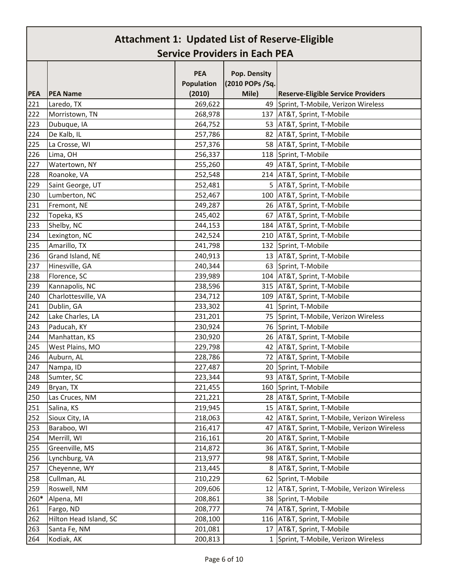|            |                               | <b>PEA</b> |                                 |                                           |
|------------|-------------------------------|------------|---------------------------------|-------------------------------------------|
|            |                               | Population | Pop. Density<br>(2010 POPs /Sq. |                                           |
| <b>PEA</b> | <b>PEA Name</b>               | (2010)     | Mile)                           | <b>Reserve-Eligible Service Providers</b> |
| 221        | Laredo, TX                    | 269,622    |                                 | 49 Sprint, T-Mobile, Verizon Wireless     |
| 222        | Morristown, TN                | 268,978    |                                 | 137 AT&T, Sprint, T-Mobile                |
| 223        | Dubuque, IA                   | 264,752    | 53                              | AT&T, Sprint, T-Mobile                    |
| 224        | De Kalb, IL                   | 257,786    | 82                              | AT&T, Sprint, T-Mobile                    |
| 225        | La Crosse, WI                 | 257,376    | 58                              | AT&T, Sprint, T-Mobile                    |
| 226        | Lima, OH                      | 256,337    |                                 | 118 Sprint, T-Mobile                      |
| 227        | Watertown, NY                 | 255,260    |                                 | 49 AT&T, Sprint, T-Mobile                 |
| 228        | Roanoke, VA                   | 252,548    |                                 | 214 AT&T, Sprint, T-Mobile                |
| 229        | Saint George, UT              | 252,481    |                                 | 5 AT&T, Sprint, T-Mobile                  |
| 230        | Lumberton, NC                 | 252,467    | 100                             | AT&T, Sprint, T-Mobile                    |
| 231        | Fremont, NE                   | 249,287    |                                 | 26 AT&T, Sprint, T-Mobile                 |
| 232        | Topeka, KS                    | 245,402    | 67                              | AT&T, Sprint, T-Mobile                    |
| 233        | Shelby, NC                    | 244,153    |                                 | 184 AT&T, Sprint, T-Mobile                |
| 234        |                               | 242,524    | 210                             | AT&T, Sprint, T-Mobile                    |
| 235        | Lexington, NC<br>Amarillo, TX | 241,798    |                                 | 132 Sprint, T-Mobile                      |
| 236        | Grand Island, NE              |            | 13                              | AT&T, Sprint, T-Mobile                    |
| 237        | Hinesville, GA                | 240,913    | 63                              | Sprint, T-Mobile                          |
|            |                               | 240,344    |                                 |                                           |
| 238        | Florence, SC                  | 239,989    |                                 | 104 AT&T, Sprint, T-Mobile                |
| 239        | Kannapolis, NC                | 238,596    |                                 | 315 AT&T, Sprint, T-Mobile                |
| 240        | Charlottesville, VA           | 234,712    | 109                             | AT&T, Sprint, T-Mobile                    |
| 241        | Dublin, GA                    | 233,302    | 41                              | Sprint, T-Mobile                          |
| 242        | Lake Charles, LA              | 231,201    |                                 | 75 Sprint, T-Mobile, Verizon Wireless     |
| 243        | Paducah, KY                   | 230,924    |                                 | 76 Sprint, T-Mobile                       |
| 244        | Manhattan, KS                 | 230,920    |                                 | 26   AT&T, Sprint, T-Mobile               |
| 245        | West Plains, MO               | 229,798    | 42                              | AT&T, Sprint, T-Mobile                    |
| 246        | Auburn, AL                    | 228,786    | 72                              | AT&T, Sprint, T-Mobile                    |
| 247        | Nampa, ID                     | 227,487    | 20                              | Sprint, T-Mobile                          |
| 248        | Sumter, SC                    | 223,344    |                                 | 93 AT&T, Sprint, T-Mobile                 |
| 249        | Bryan, TX                     | 221,455    |                                 | 160 Sprint, T-Mobile                      |
| 250        | Las Cruces, NM                | 221,221    | 28                              | AT&T, Sprint, T-Mobile                    |
| 251        | Salina, KS                    | 219,945    |                                 | 15 AT&T, Sprint, T-Mobile                 |
| 252        | Sioux City, IA                | 218,063    | 42                              | AT&T, Sprint, T-Mobile, Verizon Wireless  |
| 253        | Baraboo, WI                   | 216,417    | 47                              | AT&T, Sprint, T-Mobile, Verizon Wireless  |
| 254        | Merrill, WI                   | 216,161    | 20                              | AT&T, Sprint, T-Mobile                    |
| 255        | Greenville, MS                | 214,872    | 36                              | AT&T, Sprint, T-Mobile                    |
| 256        | Lynchburg, VA                 | 213,977    | 98                              | AT&T, Sprint, T-Mobile                    |
| 257        | Cheyenne, WY                  | 213,445    | 8                               | AT&T, Sprint, T-Mobile                    |
| 258        | Cullman, AL                   | 210,229    | 62                              | Sprint, T-Mobile                          |
| 259        | Roswell, NM                   | 209,606    | 12                              | AT&T, Sprint, T-Mobile, Verizon Wireless  |
| 260*       | Alpena, MI                    | 208,861    | 38                              | Sprint, T-Mobile                          |
| 261        | Fargo, ND                     | 208,777    | 74                              | AT&T, Sprint, T-Mobile                    |
| 262        | Hilton Head Island, SC        | 208,100    | 116                             | AT&T, Sprint, T-Mobile                    |
| 263        | Santa Fe, NM                  | 201,081    | 17                              | AT&T, Sprint, T-Mobile                    |
| 264        | Kodiak, AK                    | 200,813    | 1                               | Sprint, T-Mobile, Verizon Wireless        |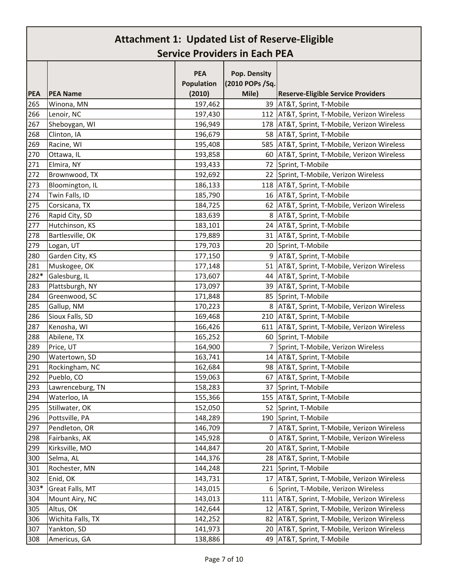|            |                   | <b>PEA</b> | Pop. Density     |                                                |
|------------|-------------------|------------|------------------|------------------------------------------------|
|            |                   | Population | (2010 POPs / Sq. |                                                |
| <b>PEA</b> | <b>PEA Name</b>   | (2010)     | Mile)            | <b>Reserve-Eligible Service Providers</b>      |
| 265        | Winona, MN        | 197,462    |                  | 39   AT&T, Sprint, T-Mobile                    |
| 266        | Lenoir, NC        | 197,430    |                  | 112 AT&T, Sprint, T-Mobile, Verizon Wireless   |
| 267        | Sheboygan, WI     | 196,949    |                  | 178   AT&T, Sprint, T-Mobile, Verizon Wireless |
| 268        | Clinton, IA       | 196,679    |                  | 58   AT&T, Sprint, T-Mobile                    |
| 269        | Racine, WI        | 195,408    |                  | 585   AT&T, Sprint, T-Mobile, Verizon Wireless |
| 270        | Ottawa, IL        | 193,858    |                  | 60   AT&T, Sprint, T-Mobile, Verizon Wireless  |
| 271        | Elmira, NY        | 193,433    |                  | 72 Sprint, T-Mobile                            |
| 272        | Brownwood, TX     | 192,692    |                  | 22 Sprint, T-Mobile, Verizon Wireless          |
| 273        | Bloomington, IL   | 186,133    |                  | 118   AT&T, Sprint, T-Mobile                   |
| 274        | Twin Falls, ID    | 185,790    |                  | 16 AT&T, Sprint, T-Mobile                      |
| 275        | Corsicana, TX     | 184,725    |                  | 62   AT&T, Sprint, T-Mobile, Verizon Wireless  |
| 276        | Rapid City, SD    | 183,639    |                  | 8 AT&T, Sprint, T-Mobile                       |
| 277        | Hutchinson, KS    | 183,101    |                  | 24 AT&T, Sprint, T-Mobile                      |
| 278        | Bartlesville, OK  | 179,889    |                  | 31   AT&T, Sprint, T-Mobile                    |
| 279        | Logan, UT         | 179,703    |                  | 20 Sprint, T-Mobile                            |
| 280        | Garden City, KS   | 177,150    |                  | 9   AT&T, Sprint, T-Mobile                     |
| 281        | Muskogee, OK      | 177,148    |                  | 51   AT&T, Sprint, T-Mobile, Verizon Wireless  |
| 282*       | Galesburg, IL     | 173,607    |                  | 44 AT&T, Sprint, T-Mobile                      |
| 283        | Plattsburgh, NY   | 173,097    |                  | 39   AT&T, Sprint, T-Mobile                    |
| 284        | Greenwood, SC     | 171,848    |                  | 85 Sprint, T-Mobile                            |
| 285        | Gallup, NM        | 170,223    |                  | 8   AT&T, Sprint, T-Mobile, Verizon Wireless   |
| 286        | Sioux Falls, SD   | 169,468    |                  | 210 AT&T, Sprint, T-Mobile                     |
| 287        | Kenosha, WI       | 166,426    |                  | 611   AT&T, Sprint, T-Mobile, Verizon Wireless |
| 288        | Abilene, TX       | 165,252    |                  | 60 Sprint, T-Mobile                            |
| 289        | Price, UT         | 164,900    |                  | 7 Sprint, T-Mobile, Verizon Wireless           |
| 290        | Watertown, SD     | 163,741    |                  | 14 AT&T, Sprint, T-Mobile                      |
| 291        | Rockingham, NC    | 162,684    |                  | 98   AT&T, Sprint, T-Mobile                    |
| 292        | Pueblo, CO        | 159,063    |                  | 67   AT&T, Sprint, T-Mobile                    |
| 293        | Lawrenceburg, TN  | 158,283    |                  | 37 Sprint, T-Mobile                            |
| 294        | Waterloo, IA      | 155,366    | 155              | AT&T, Sprint, T-Mobile                         |
| 295        | Stillwater, OK    | 152,050    |                  | 52 Sprint, T-Mobile                            |
| 296        | Pottsville, PA    | 148,289    |                  | 190 Sprint, T-Mobile                           |
| 297        | Pendleton, OR     | 146,709    |                  | 7   AT&T, Sprint, T-Mobile, Verizon Wireless   |
| 298        | Fairbanks, AK     | 145,928    | 0                | AT&T, Sprint, T-Mobile, Verizon Wireless       |
| 299        | Kirksville, MO    | 144,847    |                  | 20   AT&T, Sprint, T-Mobile                    |
| 300        | Selma, AL         | 144,376    |                  | 28 AT&T, Sprint, T-Mobile                      |
| 301        | Rochester, MN     | 144,248    | 221              | Sprint, T-Mobile                               |
| 302        | Enid, OK          | 143,731    |                  | 17   AT&T, Sprint, T-Mobile, Verizon Wireless  |
| 303*       | Great Falls, MT   | 143,015    |                  | 6 Sprint, T-Mobile, Verizon Wireless           |
| 304        | Mount Airy, NC    | 143,013    | 111              | AT&T, Sprint, T-Mobile, Verizon Wireless       |
| 305        | Altus, OK         | 142,644    | 12               | AT&T, Sprint, T-Mobile, Verizon Wireless       |
| 306        | Wichita Falls, TX | 142,252    |                  | 82   AT&T, Sprint, T-Mobile, Verizon Wireless  |
| 307        | Yankton, SD       | 141,973    |                  | 20   AT&T, Sprint, T-Mobile, Verizon Wireless  |
| 308        | Americus, GA      | 138,886    |                  | 49   AT&T, Sprint, T-Mobile                    |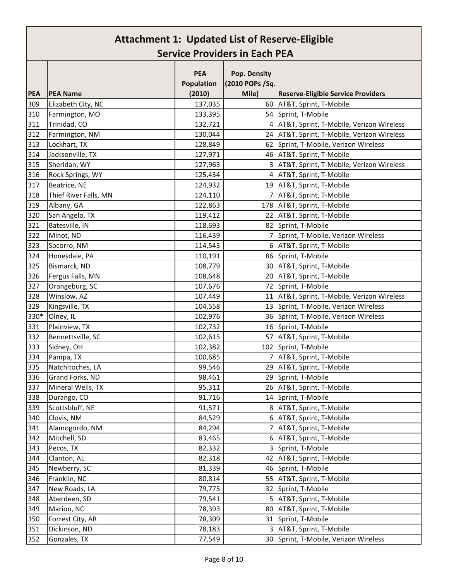|            |                       | <b>PEA</b><br>Population | Pop. Density<br>(2010 POPs /Sq. |                                               |
|------------|-----------------------|--------------------------|---------------------------------|-----------------------------------------------|
| <b>PEA</b> | <b>PEA Name</b>       | (2010)                   | Mile)                           | <b>Reserve-Eligible Service Providers</b>     |
| 309        | Elizabeth City, NC    | 137,035                  | 60                              | AT&T, Sprint, T-Mobile                        |
| 310        | Farmington, MO        | 133,395                  |                                 | 54 Sprint, T-Mobile                           |
| 311        | Trinidad, CO          | 132,721                  | 4                               | AT&T, Sprint, T-Mobile, Verizon Wireless      |
| 312        | Farmington, NM        | 130,044                  |                                 | 24 AT&T, Sprint, T-Mobile, Verizon Wireless   |
| 313        | Lockhart, TX          | 128,849                  |                                 | 62 Sprint, T-Mobile, Verizon Wireless         |
| 314        | Jacksonville, TX      | 127,971                  |                                 | 46 AT&T, Sprint, T-Mobile                     |
| 315        | Sheridan, WY          | 127,963                  |                                 | 3   AT&T, Sprint, T-Mobile, Verizon Wireless  |
| 316        | Rock Springs, WY      | 125,434                  |                                 | 4 AT&T, Sprint, T-Mobile                      |
| 317        | Beatrice, NE          | 124,932                  |                                 | 19 AT&T, Sprint, T-Mobile                     |
| 318        | Thief River Falls, MN | 124,110                  | $\overline{7}$                  | AT&T, Sprint, T-Mobile                        |
| 319        | Albany, GA            | 122,863                  |                                 | 178 AT&T, Sprint, T-Mobile                    |
| 320        | San Angelo, TX        | 119,412                  |                                 | 22 AT&T, Sprint, T-Mobile                     |
| 321        | Batesville, IN        | 118,693                  |                                 | 82 Sprint, T-Mobile                           |
| 322        | Minot, ND             | 116,439                  |                                 | 7 Sprint, T-Mobile, Verizon Wireless          |
| 323        | Socorro, NM           | 114,543                  |                                 | 6   AT&T, Sprint, T-Mobile                    |
| 324        | Honesdale, PA         | 110,191                  |                                 | 86 Sprint, T-Mobile                           |
| 325        | Bismarck, ND          | 108,779                  |                                 | 30 AT&T, Sprint, T-Mobile                     |
| 326        | Fergus Falls, MN      | 108,648                  |                                 | 20 AT&T, Sprint, T-Mobile                     |
| 327        | Orangeburg, SC        | 107,676                  | 72                              | Sprint, T-Mobile                              |
| 328        | Winslow, AZ           | 107,449                  |                                 | 11   AT&T, Sprint, T-Mobile, Verizon Wireless |
| 329        | Kingsville, TX        | 104,558                  | 13                              | Sprint, T-Mobile, Verizon Wireless            |
| 330*       | Olney, IL             | 102,976                  |                                 | 36 Sprint, T-Mobile, Verizon Wireless         |
| 331        | Plainview, TX         | 102,732                  |                                 | 16 Sprint, T-Mobile                           |
| 332        | Bennettsville, SC     | 102,615                  | 57                              | AT&T, Sprint, T-Mobile                        |
| 333        | Sidney, OH            | 102,382                  |                                 | 102 Sprint, T-Mobile                          |
| 334        | Pampa, TX             | 100,685                  | 7                               | AT&T, Sprint, T-Mobile                        |
| 335        | Natchitoches, LA      | 99,546                   |                                 | 29 AT&T, Sprint, T-Mobile                     |
| 336        | Grand Forks, ND       | 98,461                   |                                 | 29 Sprint, T-Mobile                           |
| 337        | Mineral Wells, TX     | 95,311                   |                                 | 26 AT&T, Sprint, T-Mobile                     |
| 338        | Durango, CO           | 91,716                   |                                 | 14 Sprint, T-Mobile                           |
| 339        | Scottsbluff, NE       | 91,571                   |                                 | 8 AT&T, Sprint, T-Mobile                      |
| 340        | Clovis, NM            | 84,529                   | 6                               | AT&T, Sprint, T-Mobile                        |
| 341        | Alamogordo, NM        | 84,294                   | 7                               | AT&T, Sprint, T-Mobile                        |
| 342        | Mitchell, SD          | 83,465                   | 6                               | AT&T, Sprint, T-Mobile                        |
| 343        | Pecos, TX             | 82,332                   | 3                               | Sprint, T-Mobile                              |
| 344        | Clanton, AL           | 82,318                   | 42                              | AT&T, Sprint, T-Mobile                        |
| 345        | Newberry, SC          | 81,339                   | 46                              | Sprint, T-Mobile                              |
| 346        | Franklin, NC          | 80,814                   | 55                              | AT&T, Sprint, T-Mobile                        |
| 347        | New Roads, LA         | 79,775                   | 32                              | Sprint, T-Mobile                              |
| 348        | Aberdeen, SD          | 79,541                   | 5                               | AT&T, Sprint, T-Mobile                        |
| 349        | Marion, NC            | 78,393                   | 80                              | AT&T, Sprint, T-Mobile                        |
| 350        | Forrest City, AR      | 78,309                   | 31                              | Sprint, T-Mobile                              |
| 351        | Dickinson, ND         | 78,183                   |                                 | 3 AT&T, Sprint, T-Mobile                      |
| 352        | Gonzales, TX          | 77,549                   | 30                              | Sprint, T-Mobile, Verizon Wireless            |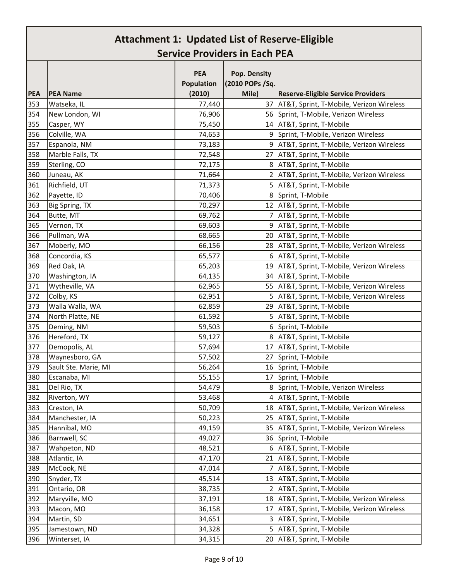|            |                      | <b>PEA</b> | Pop. Density    |                                               |
|------------|----------------------|------------|-----------------|-----------------------------------------------|
|            |                      | Population | (2010 POPs /Sq. |                                               |
| <b>PEA</b> | <b>PEA Name</b>      | (2010)     | Mile)           | <b>Reserve-Eligible Service Providers</b>     |
| 353        | Watseka, IL          | 77,440     |                 | 37   AT&T, Sprint, T-Mobile, Verizon Wireless |
| 354        | New London, WI       | 76,906     |                 | 56 Sprint, T-Mobile, Verizon Wireless         |
| 355        | Casper, WY           | 75,450     |                 | 14 AT&T, Sprint, T-Mobile                     |
| 356        | Colville, WA         | 74,653     | 9               | Sprint, T-Mobile, Verizon Wireless            |
| 357        | Espanola, NM         | 73,183     |                 | 9   AT&T, Sprint, T-Mobile, Verizon Wireless  |
| 358        | Marble Falls, TX     | 72,548     |                 | 27 AT&T, Sprint, T-Mobile                     |
| 359        | Sterling, CO         | 72,175     |                 | 8   AT&T, Sprint, T-Mobile                    |
| 360        | Juneau, AK           | 71,664     | 2               | AT&T, Sprint, T-Mobile, Verizon Wireless      |
| 361        | Richfield, UT        | 71,373     | 5               | AT&T, Sprint, T-Mobile                        |
| 362        | Payette, ID          | 70,406     |                 | 8 Sprint, T-Mobile                            |
| 363        | Big Spring, TX       | 70,297     |                 | 12   AT&T, Sprint, T-Mobile                   |
| 364        | Butte, MT            | 69,762     |                 | 7 AT&T, Sprint, T-Mobile                      |
| 365        | Vernon, TX           | 69,603     |                 | 9   AT&T, Sprint, T-Mobile                    |
| 366        | Pullman, WA          | 68,665     |                 | 20 AT&T, Sprint, T-Mobile                     |
| 367        | Moberly, MO          | 66,156     |                 | 28   AT&T, Sprint, T-Mobile, Verizon Wireless |
| 368        | Concordia, KS        | 65,577     | 6               | AT&T, Sprint, T-Mobile                        |
| 369        | Red Oak, IA          | 65,203     |                 | 19   AT&T, Sprint, T-Mobile, Verizon Wireless |
| 370        | Washington, IA       | 64,135     |                 | 34 AT&T, Sprint, T-Mobile                     |
| 371        | Wytheville, VA       | 62,965     |                 | 55   AT&T, Sprint, T-Mobile, Verizon Wireless |
| 372        | Colby, KS            | 62,951     |                 | 5   AT&T, Sprint, T-Mobile, Verizon Wireless  |
| 373        | Walla Walla, WA      | 62,859     |                 | 29 AT&T, Sprint, T-Mobile                     |
| 374        | North Platte, NE     | 61,592     | 5               | AT&T, Sprint, T-Mobile                        |
| 375        | Deming, NM           | 59,503     | 6               | Sprint, T-Mobile                              |
| 376        | Hereford, TX         | 59,127     |                 | 8 AT&T, Sprint, T-Mobile                      |
| 377        | Demopolis, AL        | 57,694     |                 | 17   AT&T, Sprint, T-Mobile                   |
| 378        | Waynesboro, GA       | 57,502     | 27              | Sprint, T-Mobile                              |
| 379        | Sault Ste. Marie, MI | 56,264     |                 | 16 Sprint, T-Mobile                           |
| 380        | Escanaba, MI         | 55,155     |                 | 17 Sprint, T-Mobile                           |
| 381        | Del Rio, TX          | 54,479     | 8               | Sprint, T-Mobile, Verizon Wireless            |
| 382        | Riverton, WY         | 53,468     | 4               | AT&T, Sprint, T-Mobile                        |
| 383        | Creston, IA          | 50,709     | 18              | AT&T, Sprint, T-Mobile, Verizon Wireless      |
| 384        | Manchester, IA       | 50,223     |                 | 25 AT&T, Sprint, T-Mobile                     |
| 385        | Hannibal, MO         | 49,159     | 35              | AT&T, Sprint, T-Mobile, Verizon Wireless      |
| 386        | Barnwell, SC         | 49,027     |                 | 36 Sprint, T-Mobile                           |
| 387        | Wahpeton, ND         | 48,521     |                 | 6 AT&T, Sprint, T-Mobile                      |
| 388        | Atlantic, IA         | 47,170     | 21              | AT&T, Sprint, T-Mobile                        |
| 389        | McCook, NE           | 47,014     | $7^{\circ}$     | AT&T, Sprint, T-Mobile                        |
| 390        | Snyder, TX           | 45,514     |                 | 13 AT&T, Sprint, T-Mobile                     |
| 391        | Ontario, OR          | 38,735     | 2               | AT&T, Sprint, T-Mobile                        |
| 392        | Maryville, MO        | 37,191     | 18              | AT&T, Sprint, T-Mobile, Verizon Wireless      |
| 393        | Macon, MO            | 36,158     | 17              | AT&T, Sprint, T-Mobile, Verizon Wireless      |
| 394        | Martin, SD           | 34,651     | 3               | AT&T, Sprint, T-Mobile                        |
| 395        | Jamestown, ND        | 34,328     | 5               | AT&T, Sprint, T-Mobile                        |
| 396        | Winterset, IA        | 34,315     |                 | 20 AT&T, Sprint, T-Mobile                     |